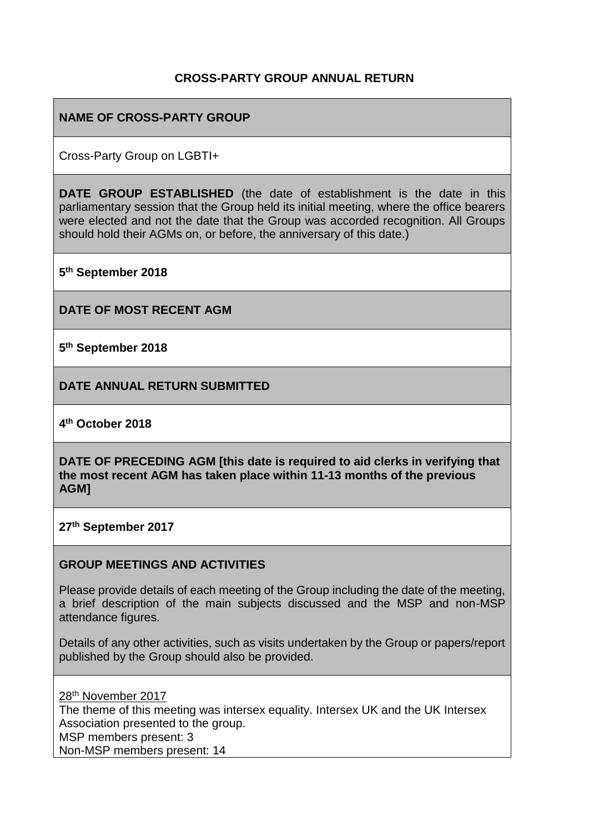### **CROSS-PARTY GROUP ANNUAL RETURN**

# **NAME OF CROSS-PARTY GROUP**

Cross-Party Group on LGBTI+

**DATE GROUP ESTABLISHED** (the date of establishment is the date in this parliamentary session that the Group held its initial meeting, where the office bearers were elected and not the date that the Group was accorded recognition. All Groups should hold their AGMs on, or before, the anniversary of this date.)

**5 th September 2018**

**DATE OF MOST RECENT AGM**

**5 th September 2018**

**DATE ANNUAL RETURN SUBMITTED**

**4 th October 2018**

**DATE OF PRECEDING AGM [this date is required to aid clerks in verifying that the most recent AGM has taken place within 11-13 months of the previous AGM]**

**27th September 2017**

#### **GROUP MEETINGS AND ACTIVITIES**

Please provide details of each meeting of the Group including the date of the meeting, a brief description of the main subjects discussed and the MSP and non-MSP attendance figures.

Details of any other activities, such as visits undertaken by the Group or papers/report published by the Group should also be provided.

28th November 2017 The theme of this meeting was intersex equality. Intersex UK and the UK Intersex Association presented to the group. MSP members present: 3 Non-MSP members present: 14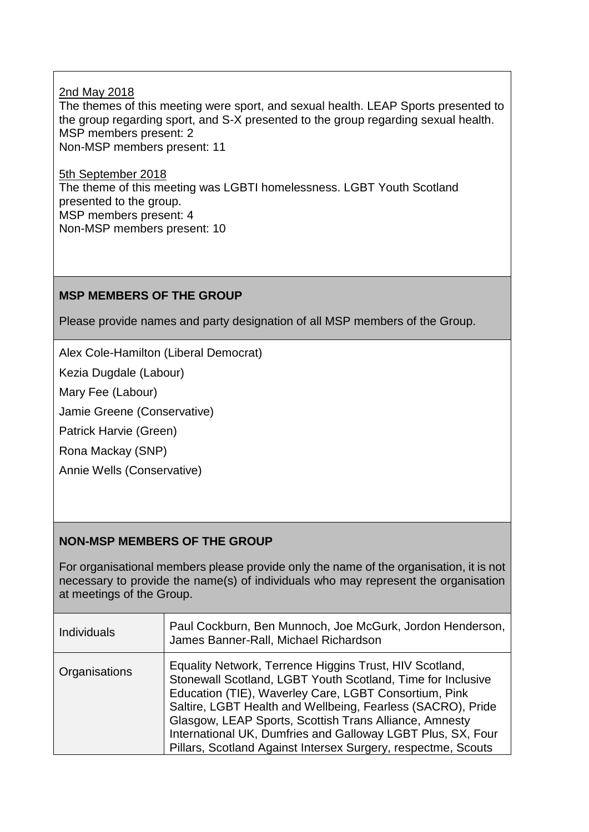2nd May 2018 The themes of this meeting were sport, and sexual health. LEAP Sports presented to the group regarding sport, and S-X presented to the group regarding sexual health. MSP members present: 2 Non-MSP members present: 11

5th September 2018 The theme of this meeting was LGBTI homelessness. LGBT Youth Scotland presented to the group. MSP members present: 4 Non-MSP members present: 10

### **MSP MEMBERS OF THE GROUP**

Please provide names and party designation of all MSP members of the Group.

Alex Cole-Hamilton (Liberal Democrat)

Kezia Dugdale (Labour)

Mary Fee (Labour)

Jamie Greene (Conservative)

Patrick Harvie (Green)

Rona Mackay (SNP)

Annie Wells (Conservative)

### **NON-MSP MEMBERS OF THE GROUP**

For organisational members please provide only the name of the organisation, it is not necessary to provide the name(s) of individuals who may represent the organisation at meetings of the Group.

| <b>Individuals</b> | Paul Cockburn, Ben Munnoch, Joe McGurk, Jordon Henderson,<br>James Banner-Rall, Michael Richardson                                                                                                                                                                                                                                                                                                                                       |
|--------------------|------------------------------------------------------------------------------------------------------------------------------------------------------------------------------------------------------------------------------------------------------------------------------------------------------------------------------------------------------------------------------------------------------------------------------------------|
| Organisations      | Equality Network, Terrence Higgins Trust, HIV Scotland,<br>Stonewall Scotland, LGBT Youth Scotland, Time for Inclusive<br>Education (TIE), Waverley Care, LGBT Consortium, Pink<br>Saltire, LGBT Health and Wellbeing, Fearless (SACRO), Pride<br>Glasgow, LEAP Sports, Scottish Trans Alliance, Amnesty<br>International UK, Dumfries and Galloway LGBT Plus, SX, Four<br>Pillars, Scotland Against Intersex Surgery, respectme, Scouts |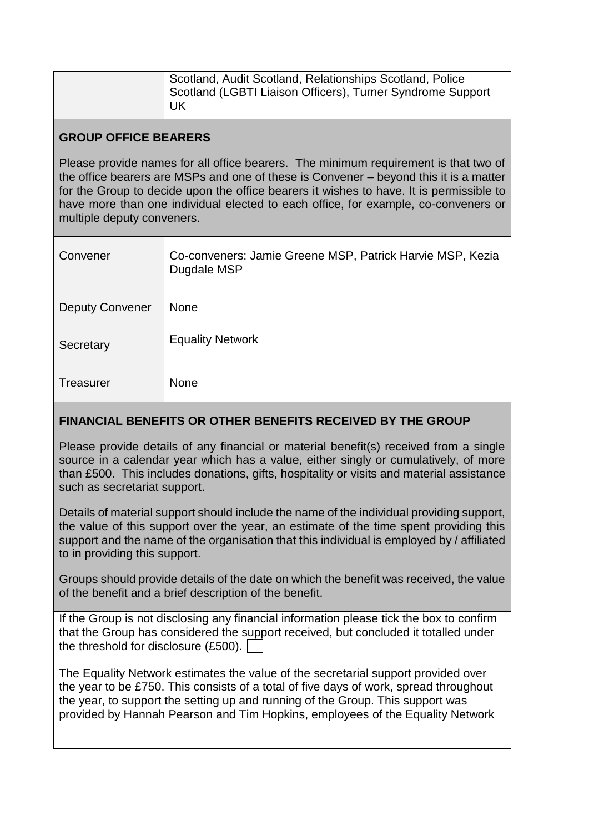| Scotland, Audit Scotland, Relationships Scotland, Police<br>Scotland (LGBTI Liaison Officers), Turner Syndrome Support<br>UK |  |
|------------------------------------------------------------------------------------------------------------------------------|--|
|------------------------------------------------------------------------------------------------------------------------------|--|

## **GROUP OFFICE BEARERS**

Please provide names for all office bearers. The minimum requirement is that two of the office bearers are MSPs and one of these is Convener – beyond this it is a matter for the Group to decide upon the office bearers it wishes to have. It is permissible to have more than one individual elected to each office, for example, co-conveners or multiple deputy conveners.

| Convener               | Co-conveners: Jamie Greene MSP, Patrick Harvie MSP, Kezia<br>Dugdale MSP |
|------------------------|--------------------------------------------------------------------------|
| <b>Deputy Convener</b> | <b>None</b>                                                              |
| Secretary              | <b>Equality Network</b>                                                  |
| <b>Treasurer</b>       | <b>None</b>                                                              |

## **FINANCIAL BENEFITS OR OTHER BENEFITS RECEIVED BY THE GROUP**

Please provide details of any financial or material benefit(s) received from a single source in a calendar year which has a value, either singly or cumulatively, of more than £500. This includes donations, gifts, hospitality or visits and material assistance such as secretariat support.

Details of material support should include the name of the individual providing support, the value of this support over the year, an estimate of the time spent providing this support and the name of the organisation that this individual is employed by / affiliated to in providing this support.

Groups should provide details of the date on which the benefit was received, the value of the benefit and a brief description of the benefit.

If the Group is not disclosing any financial information please tick the box to confirm that the Group has considered the support received, but concluded it totalled under the threshold for disclosure (£500).

The Equality Network estimates the value of the secretarial support provided over the year to be £750. This consists of a total of five days of work, spread throughout the year, to support the setting up and running of the Group. This support was provided by Hannah Pearson and Tim Hopkins, employees of the Equality Network